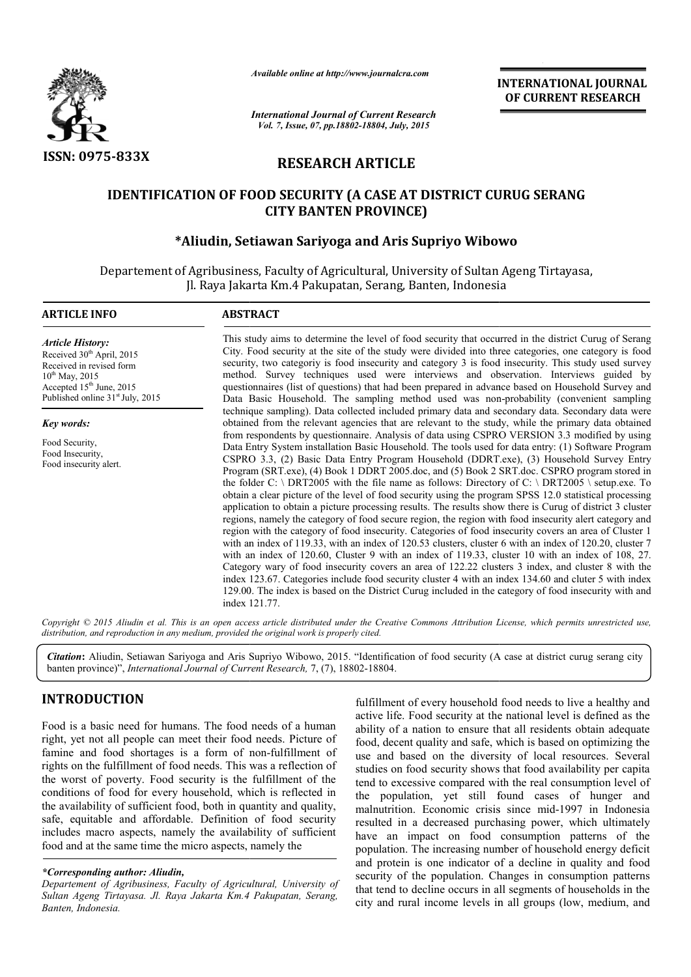

*Available online at http://www.journalcra.com*

# RESEARCH ARTICLE

# IDENTIFICATION OF FOOD SECURITY (A CASE AT DISTRICT CURUG SERANG CITY BANTEN PROVINCE)

### \*Aliudin, Setiawan Sariyoga and Aris Supriyo Wibowo

|                                                                                                                                                                                                                                                                                                                                                                                                                                                                                                                                                                                                                                                                                           | unuvic viime ui nup.//www.jvurnuicru.com                                                                                                                                                                                                                                                                                                                                                                                                                                                                                                                                                                                                                                                                                                                                                                                                                                                                                                                                                                                                                                                                                                                                                                                                                                                                                                                                                                                                                                                                                                                                                                                                                                                                             | <b>INTERNATIONAL JOURNAL</b><br>OF CURRENT RESEARCH                                                                                                                                                                                                                                                                                                                                                                                                                                                                                                                                                                                                                                                                                                                                      |  |  |
|-------------------------------------------------------------------------------------------------------------------------------------------------------------------------------------------------------------------------------------------------------------------------------------------------------------------------------------------------------------------------------------------------------------------------------------------------------------------------------------------------------------------------------------------------------------------------------------------------------------------------------------------------------------------------------------------|----------------------------------------------------------------------------------------------------------------------------------------------------------------------------------------------------------------------------------------------------------------------------------------------------------------------------------------------------------------------------------------------------------------------------------------------------------------------------------------------------------------------------------------------------------------------------------------------------------------------------------------------------------------------------------------------------------------------------------------------------------------------------------------------------------------------------------------------------------------------------------------------------------------------------------------------------------------------------------------------------------------------------------------------------------------------------------------------------------------------------------------------------------------------------------------------------------------------------------------------------------------------------------------------------------------------------------------------------------------------------------------------------------------------------------------------------------------------------------------------------------------------------------------------------------------------------------------------------------------------------------------------------------------------------------------------------------------------|------------------------------------------------------------------------------------------------------------------------------------------------------------------------------------------------------------------------------------------------------------------------------------------------------------------------------------------------------------------------------------------------------------------------------------------------------------------------------------------------------------------------------------------------------------------------------------------------------------------------------------------------------------------------------------------------------------------------------------------------------------------------------------------|--|--|
|                                                                                                                                                                                                                                                                                                                                                                                                                                                                                                                                                                                                                                                                                           | <b>International Journal of Current Research</b><br>Vol. 7, Issue, 07, pp.18802-18804, July, 2015                                                                                                                                                                                                                                                                                                                                                                                                                                                                                                                                                                                                                                                                                                                                                                                                                                                                                                                                                                                                                                                                                                                                                                                                                                                                                                                                                                                                                                                                                                                                                                                                                    |                                                                                                                                                                                                                                                                                                                                                                                                                                                                                                                                                                                                                                                                                                                                                                                          |  |  |
| <b>ISSN: 0975-833X</b><br><b>RESEARCH ARTICLE</b>                                                                                                                                                                                                                                                                                                                                                                                                                                                                                                                                                                                                                                         |                                                                                                                                                                                                                                                                                                                                                                                                                                                                                                                                                                                                                                                                                                                                                                                                                                                                                                                                                                                                                                                                                                                                                                                                                                                                                                                                                                                                                                                                                                                                                                                                                                                                                                                      |                                                                                                                                                                                                                                                                                                                                                                                                                                                                                                                                                                                                                                                                                                                                                                                          |  |  |
|                                                                                                                                                                                                                                                                                                                                                                                                                                                                                                                                                                                                                                                                                           | <b>CITY BANTEN PROVINCE)</b>                                                                                                                                                                                                                                                                                                                                                                                                                                                                                                                                                                                                                                                                                                                                                                                                                                                                                                                                                                                                                                                                                                                                                                                                                                                                                                                                                                                                                                                                                                                                                                                                                                                                                         | <b>IDENTIFICATION OF FOOD SECURITY (A CASE AT DISTRICT CURUG SERANG</b>                                                                                                                                                                                                                                                                                                                                                                                                                                                                                                                                                                                                                                                                                                                  |  |  |
|                                                                                                                                                                                                                                                                                                                                                                                                                                                                                                                                                                                                                                                                                           | Jl. Raya Jakarta Km.4 Pakupatan, Serang, Banten, Indonesia                                                                                                                                                                                                                                                                                                                                                                                                                                                                                                                                                                                                                                                                                                                                                                                                                                                                                                                                                                                                                                                                                                                                                                                                                                                                                                                                                                                                                                                                                                                                                                                                                                                           | *Aliudin, Setiawan Sariyoga and Aris Supriyo Wibowo<br>Departement of Agribusiness, Faculty of Agricultural, University of Sultan Ageng Tirtayasa,                                                                                                                                                                                                                                                                                                                                                                                                                                                                                                                                                                                                                                       |  |  |
| <b>ARTICLE INFO</b>                                                                                                                                                                                                                                                                                                                                                                                                                                                                                                                                                                                                                                                                       | <b>ABSTRACT</b>                                                                                                                                                                                                                                                                                                                                                                                                                                                                                                                                                                                                                                                                                                                                                                                                                                                                                                                                                                                                                                                                                                                                                                                                                                                                                                                                                                                                                                                                                                                                                                                                                                                                                                      |                                                                                                                                                                                                                                                                                                                                                                                                                                                                                                                                                                                                                                                                                                                                                                                          |  |  |
| <b>Article History:</b><br>Received 30 <sup>th</sup> April, 2015<br>Received in revised form<br>$10^{th}$ May, 2015<br>Accepted 15 <sup>th</sup> June, 2015<br>Published online 31 <sup>st</sup> July, 2015                                                                                                                                                                                                                                                                                                                                                                                                                                                                               | This study aims to determine the level of food security that occurred in the district Curug of Serang<br>City. Food security at the site of the study were divided into three categories, one category is food<br>security, two category is food insecurity and category 3 is food insecurity. This study used survey<br>method. Survey techniques used were interviews and observation. Interviews guided by<br>questionnaires (list of questions) that had been prepared in advance based on Household Survey and<br>Data Basic Household. The sampling method used was non-probability (convenient sampling                                                                                                                                                                                                                                                                                                                                                                                                                                                                                                                                                                                                                                                                                                                                                                                                                                                                                                                                                                                                                                                                                                       |                                                                                                                                                                                                                                                                                                                                                                                                                                                                                                                                                                                                                                                                                                                                                                                          |  |  |
| Key words:<br>Food Security,<br>Food Insecurity,<br>Food insecurity alert.                                                                                                                                                                                                                                                                                                                                                                                                                                                                                                                                                                                                                | technique sampling). Data collected included primary data and secondary data. Secondary data were<br>obtained from the relevant agencies that are relevant to the study, while the primary data obtained<br>from respondents by questionnaire. Analysis of data using CSPRO VERSION 3.3 modified by using<br>Data Entry System installation Basic Household. The tools used for data entry: (1) Software Program<br>CSPRO 3.3, (2) Basic Data Entry Program Household (DDRT.exe), (3) Household Survey Entry<br>Program (SRT.exe), (4) Book 1 DDRT 2005.doc, and (5) Book 2 SRT.doc. CSPRO program stored in<br>the folder C: \ DRT2005 with the file name as follows: Directory of C: \ DRT2005 \ setup.exe. To<br>obtain a clear picture of the level of food security using the program SPSS 12.0 statistical processing<br>application to obtain a picture processing results. The results show there is Curug of district 3 cluster<br>regions, namely the category of food secure region, the region with food insecurity alert category and<br>region with the category of food insecurity. Categories of food insecurity covers an area of Cluster 1<br>with an index of 119.33, with an index of 120.53 clusters, cluster 6 with an index of 120.20, cluster 7<br>with an index of 120.60, Cluster 9 with an index of 119.33, cluster 10 with an index of 108, 27.<br>Category wary of food insecurity covers an area of 122.22 clusters 3 index, and cluster 8 with the<br>index 123.67. Categories include food security cluster 4 with an index 134.60 and cluter 5 with index<br>129.00. The index is based on the District Curug included in the category of food insecurity with and<br>index 121.77. |                                                                                                                                                                                                                                                                                                                                                                                                                                                                                                                                                                                                                                                                                                                                                                                          |  |  |
|                                                                                                                                                                                                                                                                                                                                                                                                                                                                                                                                                                                                                                                                                           | distribution, and reproduction in any medium, provided the original work is properly cited.                                                                                                                                                                                                                                                                                                                                                                                                                                                                                                                                                                                                                                                                                                                                                                                                                                                                                                                                                                                                                                                                                                                                                                                                                                                                                                                                                                                                                                                                                                                                                                                                                          | Copyright © 2015 Aliudin et al. This is an open access article distributed under the Creative Commons Attribution License, which permits unrestricted use,                                                                                                                                                                                                                                                                                                                                                                                                                                                                                                                                                                                                                               |  |  |
|                                                                                                                                                                                                                                                                                                                                                                                                                                                                                                                                                                                                                                                                                           | banten province)", International Journal of Current Research, 7, (7), 18802-18804.                                                                                                                                                                                                                                                                                                                                                                                                                                                                                                                                                                                                                                                                                                                                                                                                                                                                                                                                                                                                                                                                                                                                                                                                                                                                                                                                                                                                                                                                                                                                                                                                                                   | Citation: Aliudin, Setiawan Sariyoga and Aris Supriyo Wibowo, 2015. "Identification of food security (A case at district curug serang city                                                                                                                                                                                                                                                                                                                                                                                                                                                                                                                                                                                                                                               |  |  |
| <b>INTRODUCTION</b><br>Food is a basic need for humans. The food needs of a human<br>right, yet not all people can meet their food needs. Picture of<br>famine and food shortages is a form of non-fulfillment of<br>rights on the fulfillment of food needs. This was a reflection of<br>the worst of poverty. Food security is the fulfillment of the<br>conditions of food for every household, which is reflected in<br>the availability of sufficient food, both in quantity and quality,<br>safe, equitable and affordable. Definition of food security<br>includes macro aspects, namely the availability of sufficient<br>food and at the same time the micro aspects, namely the |                                                                                                                                                                                                                                                                                                                                                                                                                                                                                                                                                                                                                                                                                                                                                                                                                                                                                                                                                                                                                                                                                                                                                                                                                                                                                                                                                                                                                                                                                                                                                                                                                                                                                                                      | fulfillment of every household food needs to live a healthy and<br>active life. Food security at the national level is defined as the<br>ability of a nation to ensure that all residents obtain adequate<br>food, decent quality and safe, which is based on optimizing the<br>use and based on the diversity of local resources. Several<br>studies on food security shows that food availability per capita<br>tend to excessive compared with the real consumption level of<br>the population, yet still found cases of hunger and<br>malnutrition. Economic crisis since mid-1997 in Indonesia<br>resulted in a decreased purchasing power, which ultimately<br>have an impact on food consumption patterns of the<br>population. The increasing number of household energy deficit |  |  |
| *Corresponding author: Aliudin,<br>Departement of Agribusiness, Faculty of Agricultural, University of<br>Sultan Ageng Tirtayasa. Jl. Raya Jakarta Km.4 Pakupatan, Serang,<br>Ranton Indonesia                                                                                                                                                                                                                                                                                                                                                                                                                                                                                            |                                                                                                                                                                                                                                                                                                                                                                                                                                                                                                                                                                                                                                                                                                                                                                                                                                                                                                                                                                                                                                                                                                                                                                                                                                                                                                                                                                                                                                                                                                                                                                                                                                                                                                                      | and protein is one indicator of a decline in quality and food<br>security of the population. Changes in consumption patterns<br>that tend to decline occurs in all segments of households in the<br>city and rural income levels in all groups (low, medium, and                                                                                                                                                                                                                                                                                                                                                                                                                                                                                                                         |  |  |

# INTRODUCTION

#### *\*Corresponding author: Aliudin,*

*Departement of Agribusiness, Faculty of Agricultural, University of Sultan Ageng Tirtayasa. Jl. Raya Jakarta Km.4 Pakupatan, Serang, Banten, Indonesia.*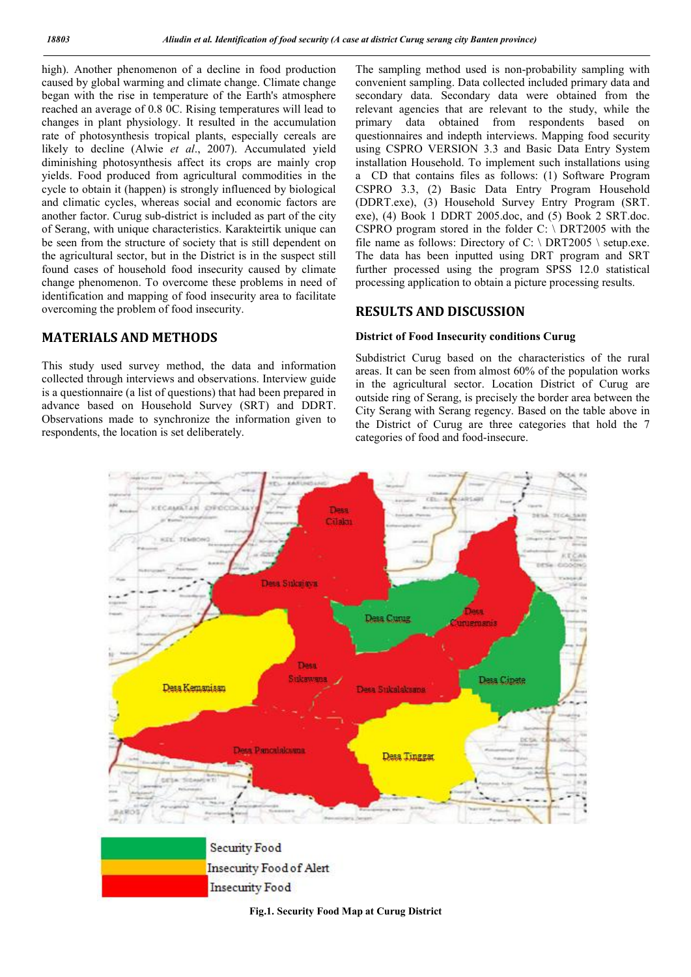high). Another phenomenon of a decline in food production caused by global warming and climate change. Climate change began with the rise in temperature of the Earth's atmosphere reached an average of 0.8 0C. Rising temperatures will lead to changes in plant physiology. It resulted in the accumulation rate of photosynthesis tropical plants, especially cereals are likely to decline (Alwie *et al*., 2007). Accumulated yield diminishing photosynthesis affect its crops are mainly crop yields. Food produced from agricultural commodities in the cycle to obtain it (happen) is strongly influenced by biological and climatic cycles, whereas social and economic factors are another factor. Curug sub-district is included as part of the city of Serang, with unique characteristics. Karakteirtik unique can be seen from the structure of society that is still dependent on the agricultural sector, but in the District is in the suspect still found cases of household food insecurity caused by climate change phenomenon. To overcome these problems in need of identification and mapping of food insecurity area to facilitate overcoming the problem of food insecurity.

# MATERIALS AND METHODS

This study used survey method, the data and information collected through interviews and observations. Interview guide is a questionnaire (a list of questions) that had been prepared in advance based on Household Survey (SRT) and DDRT. Observations made to synchronize the information given to respondents, the location is set deliberately.

The sampling method used is non-probability sampling with convenient sampling. Data collected included primary data and secondary data. Secondary data were obtained from the relevant agencies that are relevant to the study, while the primary data obtained from respondents based on questionnaires and indepth interviews. Mapping food security using CSPRO VERSION 3.3 and Basic Data Entry System installation Household. To implement such installations using a CD that contains files as follows: (1) Software Program CSPRO 3.3, (2) Basic Data Entry Program Household (DDRT.exe), (3) Household Survey Entry Program (SRT. exe), (4) Book 1 DDRT 2005.doc, and (5) Book 2 SRT.doc. CSPRO program stored in the folder C: \ DRT2005 with the file name as follows: Directory of C:  $\Delta$  DRT2005  $\Delta$  setup.exe. The data has been inputted using DRT program and SRT further processed using the program SPSS 12.0 statistical processing application to obtain a picture processing results.

### RESULTS AND DISCUSSION

#### District of Food Insecurity conditions Curug

Subdistrict Curug based on the characteristics of the rural areas. It can be seen from almost 60% of the population works in the agricultural sector. Location District of Curug are outside ring of Serang, is precisely the border area between the City Serang with Serang regency. Based on the table above in the District of Curug are three categories that hold the 7 categories of food and food-insecure.





Fig.1. Security Food Map at Curug District